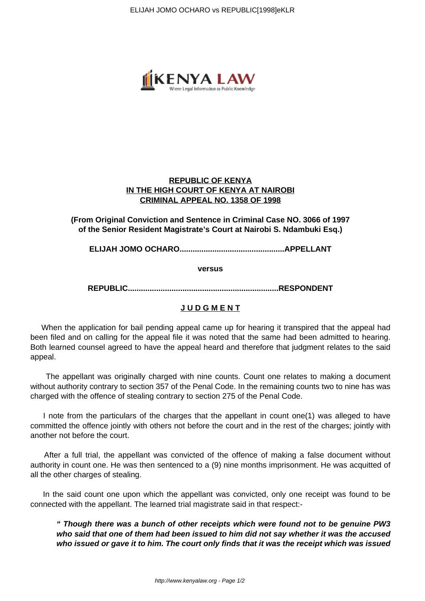ELIJAH JOMO OCHARO vs REPUBLIC[1998]eKLR



# **REPUBLIC OF KENYA IN THE HIGH COURT OF KENYA AT NAIROBI CRIMINAL APPEAL NO. 1358 OF 1998**

# **(From Original Conviction and Sentence in Criminal Case NO. 3066 of 1997 of the Senior Resident Magistrate's Court at Nairobi S. Ndambuki Esq.)**

**ELIJAH JOMO OCHARO................................................APPELLANT**

**versus**

**REPUBLIC.....................................................................RESPONDENT**

## **J U D G M E N T**

 When the application for bail pending appeal came up for hearing it transpired that the appeal had been filed and on calling for the appeal file it was noted that the same had been admitted to hearing. Both learned counsel agreed to have the appeal heard and therefore that judgment relates to the said appeal.

 The appellant was originally charged with nine counts. Count one relates to making a document without authority contrary to section 357 of the Penal Code. In the remaining counts two to nine has was charged with the offence of stealing contrary to section 275 of the Penal Code.

 I note from the particulars of the charges that the appellant in count one(1) was alleged to have committed the offence jointly with others not before the court and in the rest of the charges; jointly with another not before the court.

 After a full trial, the appellant was convicted of the offence of making a false document without authority in count one. He was then sentenced to a (9) nine months imprisonment. He was acquitted of all the other charges of stealing.

 In the said count one upon which the appellant was convicted, only one receipt was found to be connected with the appellant. The learned trial magistrate said in that respect:-

**" Though there was a bunch of other receipts which were found not to be genuine PW3 who said that one of them had been issued to him did not say whether it was the accused who issued or gave it to him. The court only finds that it was the receipt which was issued**